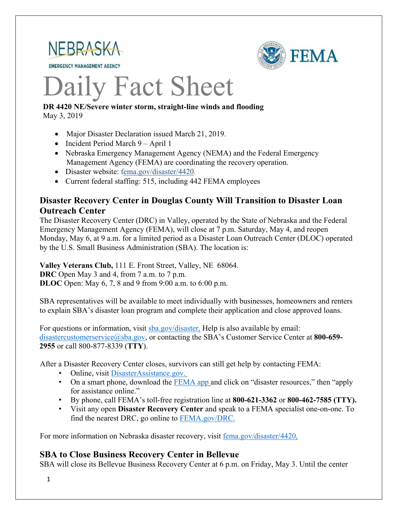

**EMERGENCY MANAGEMENT AGENCY** 



# Daily Fact Sheet

#### **DR 4420 NE/Severe winter storm, straight-line winds and flooding** May 3, 2019

- Major Disaster Declaration issued March 21, 2019.
- Incident Period March 9 April 1
- Nebraska Emergency Management Agency (NEMA) and the Federal Emergency Management Agency (FEMA) are coordinating the recovery operation.
- Disaster website: [fema.gov/disaster/4420.](https://www.fema.gov/disaster/4420)
- Current federal staffing: 515, including 442 FEMA employees

# **Disaster Recovery Center in Douglas County Will Transition to Disaster Loan Outreach Center**

The Disaster Recovery Center (DRC) in Valley, operated by the State of Nebraska and the Federal Emergency Management Agency (FEMA), will close at 7 p.m. Saturday, May 4, and reopen Monday, May 6, at 9 a.m. for a limited period as a Disaster Loan Outreach Center (DLOC) operated by the U.S. Small Business Administration (SBA). The location is:

**Valley Veterans Club,** 111 E. Front Street, Valley, NE 68064. **DRC** Open May 3 and 4, from 7 a.m. to 7 p.m. **DLOC** Open: May 6, 7, 8 and 9 from 9:00 a.m. to 6:00 p.m.

SBA representatives will be available to meet individually with businesses, homeowners and renters to explain SBA's disaster loan program and complete their application and close approved loans.

For questions or information, visit [sba.gov/disaster.](http://www.sba.gov/disaster) Help is also available by email: disastercustomerservice@sba.gov, or contacting the SBA's Customer Service Center at **800-659- 2955** or call 800-877-8339 (**TTY**).

After a Disaster Recovery Center closes, survivors can still get help by contacting FEMA:

- Online, visit [DisasterAssistance.gov.](http://www.disasterassistance.gov/)
- On a smart phone, download the [FEMA app](https://www.fema.gov/mobile-app) and click on "disaster resources," then "apply for assistance online."
- By phone, call FEMA's toll-free registration line at **800-621-3362** or **800-462-7585 (TTY).**
- Visit any open **Disaster Recovery Center** and speak to a FEMA specialist one-on-one. To find the nearest DRC, go online to [FEMA.gov/DRC.](http://www.fema.gov/DRC)

For more information on Nebraska disaster recovery, visit [fema.gov/disaster/4420.](http://www.fema.gov/disaster/4420)

# **SBA to Close Business Recovery Center in Bellevue**

SBA will close its Bellevue Business Recovery Center at 6 p.m. on Friday, May 3. Until the center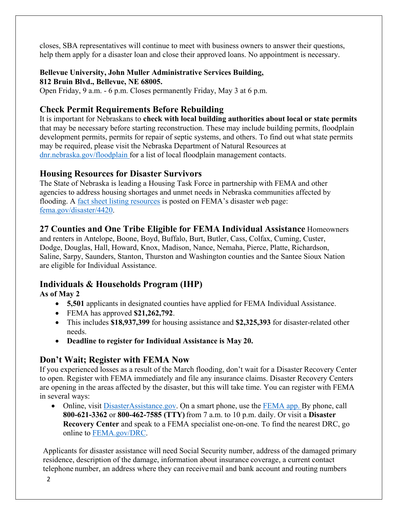closes, SBA representatives will continue to meet with business owners to answer their questions, help them apply for a disaster loan and close their approved loans. No appointment is necessary.

**Bellevue University, John Muller Administrative Services Building, 812 Bruin Blvd., Bellevue, NE 68005.** 

Open Friday, 9 a.m. - 6 p.m. Closes permanently Friday, May 3 at 6 p.m.

# **Check Permit Requirements Before Rebuilding**

It is important for Nebraskans to **check with local building authorities about local or state permits** that may be necessary before starting reconstruction. These may include building permits, floodplain development permits, permits for repair of septic systems, and others. To find out what state permits may be required, please visit the Nebraska Department of Natural Resources at [dnr.nebraska.gov/floodplain](https://dnr.nebraska.gov/floodplain) for a list of local floodplain management contacts.

# **Housing Resources for Disaster Survivors**

The State of Nebraska is leading a Housing Task Force in partnership with FEMA and other agencies to address housing shortages and unmet needs in Nebraska communities affected by flooding. A [fact sheet listing resources](https://edit.fema.gov/news-release/2019/04/19/fact-sheet-housing-resources-residents-nebraska-affected-march-storms-0) is posted on FEMA's disaster web page: [fema.gov/disaster/4420.](http://www.fema.gov/disaster/4420)

# **27 Counties and One Tribe Eligible for FEMA Individual Assistance** Homeowners

and renters in Antelope, Boone, Boyd, Buffalo, Burt, Butler, Cass, Colfax, Cuming, Custer, Dodge, Douglas, Hall, Howard, Knox, Madison, Nance, Nemaha, Pierce, Platte, Richardson, Saline, Sarpy, Saunders, Stanton, Thurston and Washington counties and the Santee Sioux Nation are eligible for Individual Assistance.

# **Individuals & Households Program (IHP)**

**As of May 2**

- **5,501** applicants in designated counties have applied for FEMA Individual Assistance.
- FEMA has approved **\$21,262,792**.
- This includes **\$18,937,399** for housing assistance and **\$2,325,393** for disaster-related other needs.
- **Deadline to register for Individual Assistance is May 20.**

# **Don't Wait; Register with FEMA Now**

If you experienced losses as a result of the March flooding, don't wait for a Disaster Recovery Center to open. Register with FEMA immediately and file any insurance claims. Disaster Recovery Centers are opening in the areas affected by the disaster, but this will take time. You can register with FEMA in several ways:

• Online, visit [DisasterAssistance.gov.](https://disasterassistance.gov/) On a smart phone, use the [FEMA app.](https://www.fema.gov/mobile-app) By phone, call **800-621-3362** or **800-462-7585 (TTY)** from 7 a.m. to 10 p.m. daily. Or visit a **Disaster Recovery Center** and speak to a FEMA specialist one-on-one. To find the nearest DRC, go online to [FEMA.gov/DRC.](http://www.fema.gov/DRC)

Applicants for disaster assistance will need Social Security number, address of the damaged primary residence, description of the damage, information about insurance coverage, a current contact telephone number, an address where they can receivemail and bank account and routing numbers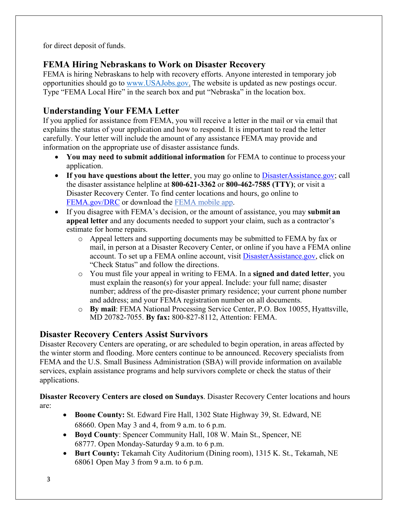for direct deposit of funds.

# **FEMA Hiring Nebraskans to Work on Disaster Recovery**

FEMA is hiring Nebraskans to help with recovery efforts. Anyone interested in temporary job opportunities should go to [www.USAJobs.gov.](http://www.usajobs.gov/) The website is updated as new postings occur. Type "FEMA Local Hire" in the search box and put "Nebraska" in the location box.

# **Understanding Your FEMA Letter**

If you applied for assistance from FEMA, you will receive a letter in the mail or via email that explains the status of your application and how to respond. It is important to read the letter carefully. Your letter will include the amount of any assistance FEMA may provide and information on the appropriate use of disaster assistance funds.

- **You may need to submit additional information** for FEMA to continue to process your application.
- If you have questions about the letter, you may go online to **DisasterAssistance.gov**; call the disaster assistance helpline at **800-621-3362** or **800-462-7585 (TTY)**; or visit a Disaster Recovery Center. To find center locations and hours, go online t[o](https://www.fema.gov/disaster-recovery-centers) [FEMA.gov/DRC](https://www.fema.gov/disaster-recovery-centers) or download the [FEMA mobile](https://www.fema.gov/mobile-app) app.
- If you disagree with FEMA's decision, or the amount of assistance, you may **submit an appeal letter** and any documents needed to support your claim, such as a contractor's estimate for home repairs.
	- o Appeal letters and supporting documents may be submitted to FEMA by fax or mail, in person at a Disaster Recovery Center, or online if you have a FEMA online account. To set up a FEMA online account, visit [DisasterAssistance.gov, c](http://www.disasterassistance.gov/)lick on "Check Status" and follow the directions.
	- o You must file your appeal in writing to FEMA. In a **signed and dated letter**, you must explain the reason(s) for your appeal. Include: your full name; disaster number; address of the pre-disaster primary residence; your current phone number and address; and your FEMA registration number on all documents.
	- o **By mail**: FEMA National Processing Service Center, P.O. Box 10055, Hyattsville, MD 20782-7055. **By fax:** 800-827-8112, Attention: FEMA.

# **Disaster Recovery Centers Assist Survivors**

Disaster Recovery Centers are operating, or are scheduled to begin operation, in areas affected by the winter storm and flooding. More centers continue to be announced. Recovery specialists from FEMA and the U.S. Small Business Administration (SBA) will provide information on available services, explain assistance programs and help survivors complete or check the status of their applications.

**Disaster Recovery Centers are closed on Sundays**. Disaster Recovery Center locations and hours are:

- **Boone County:** St. Edward Fire Hall, 1302 State Highway 39, St. Edward, NE 68660. Open May 3 and 4, from 9 a.m. to 6 p.m.
- **Boyd County**: Spencer Community Hall, 108 W. Main St., Spencer, NE 68777. Open Monday-Saturday 9 a.m. to 6 p.m.
- **Burt County:** Tekamah City Auditorium (Dining room), 1315 K. St., Tekamah, NE 68061 Open May 3 from 9 a.m. to 6 p.m.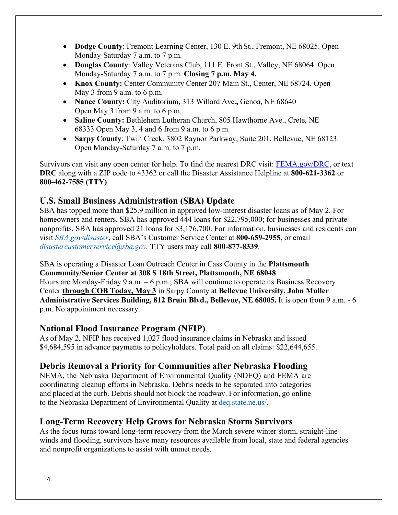- **Dodge County**: Fremont Learning Center, 130 E. 9th St., Fremont, NE 68025. Open Monday-Saturday 7 a.m. to 7 p.m.
- **Douglas County**: Valley Veterans Club, 111 E. Front St., Valley, NE 68064. Open Monday-Saturday 7 a.m. to 7 p.m. **Closing 7 p.m. May 4.**
- **Knox County:** Center Community Center 207 Main St., Center, NE 68724. Open May 3 from 9 a.m. to 6 p.m.
- **Nance County:** City Auditorium, 313 Willard Ave., Genoa, NE 68640 Open May 3 from 9 a.m. to 6 p.m.
- **Saline County:** Bethlehem Lutheran Church, 805 Hawthorne Ave., Crete, NE 68333 Open May 3, 4 and 6 from 9 a.m. to 6 p.m.
- **Sarpy County**: Twin Creek, 3802 Raynor Parkway, Suite 201, Bellevue, NE 68123. Open Monday-Saturday 7 a.m. to 7 p.m.

Survivors can visit any open center for help. To find the nearest DRC visit: [FEMA.gov/DRC,](http://www.fema.gov/DRC) or text **DRC** along with a ZIP code to 43362 or call the Disaster Assistance Helpline at **800-621-3362** or **800-462-7585 (TTY)**.

# **U.S. Small Business Administration (SBA) Update**

SBA has topped more than \$25.9 million in approved low-interest disaster loans as of May 2. For homeowners and renters, SBA has approved 444 loans for \$22,795,000; for businesses and private nonprofits, SBA has approved 21 loans for \$3,176,700. For information, businesses and residents can visit *[SBA.gov/disaster](http://www.sba.gov/disaster)*, call SBA's Customer Service Center at **800-659-2955,** or email *[disastercustomerservice@sba.gov.](mailto:disastercustomerservice@sba.gov)* TTY users may call **800-877-8339**.

SBA is operating a Disaster Loan Outreach Center in Cass County in the **Plattsmouth Community/Senior Center at 308 S 18th Street, Plattsmouth, NE 68048**. Hours are Monday-Friday 9 a.m. – 6 p.m.; SBA will continue to operate its Business Recovery Center **through COB Today, May 3** in Sarpy County at **Bellevue University, John Muller Administrative Services Building, 812 Bruin Blvd., Bellevue, NE 68005.** It is open from 9 a.m. - 6 p.m. No appointment necessary.

# **National Flood Insurance Program (NFIP)**

As of May 2, NFIP has received 1,027 flood insurance claims in Nebraska and issued \$4,684,595 in advance payments to policyholders. Total paid on all claims: \$22,644,655.

# **Debris Removal a Priority for Communities after Nebraska Flooding**

NEMA, the Nebraska Department of Environmental Quality (NDEQ) and FEMA are coordinating cleanup efforts in Nebraska. Debris needs to be separated into categories and placed at the curb. Debris should not block the roadway. For information, go online to the Nebraska Department of Environmental Quality at [deq.state.ne.us/.](http://www.deq.state.ne.us/)

# **Long-Term Recovery Help Grows for Nebraska Storm Survivors**

As the focus turns toward long-term recovery from the March severe winter storm, straight-line winds and flooding, survivors have many resources available from local, state and federal agencies and nonprofit organizations to assist with unmet needs.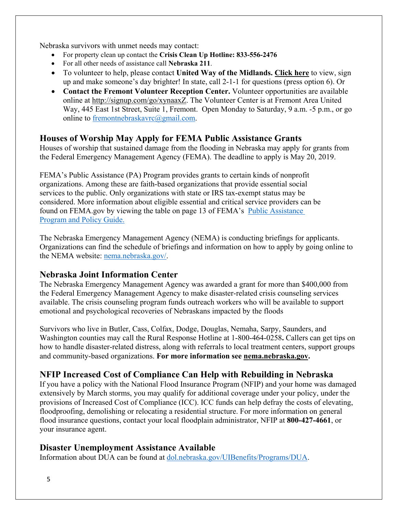Nebraska survivors with unmet needs may contact:

- For property clean up contact the **Crisis Clean Up Hotline: 833-556-2476**
- For all other needs of assistance call **Nebraska 211**.
- To volunteer to help, please contact **United Way of the Midlands. [Click](https://uwmidlands.galaxydigital.com/need/?s=1&need_init_id=1660) here** to view, sign up and make someone's day brighter! In state, call 2-1-1 for questions (press option 6). Or
- **Contact the Fremont Volunteer Reception Center.** Volunteer opportunities are available online at [http://signup.com/go/xynaaxZ.](http://signup.com/go/xynaaxZ?fbclid=IwAR1m90U2vgYS7ECdb6AHljMooZNkdAfb6i-7s_1hgOCf11d0oi-VMnJcMYY) The Volunteer Center is at Fremont Area United Way, 445 East 1st Street, Suite 1, Fremont. Open Monday to Saturday, 9 a.m. -5 p.m., or go online to [fremontnebraskavrc@gmail.com.](mailto:fremontnebraskavrc@gmail.com)

#### **Houses of Worship May Apply for FEMA Public Assistance Grants**

Houses of worship that sustained damage from the flooding in Nebraska may apply for grants from the Federal Emergency Management Agency (FEMA). The deadline to apply is May 20, 2019.

FEMA's Public Assistance (PA) Program provides grants to certain kinds of nonprofit organizations. Among these are faith-based organizations that provide essential social services to the public. Only organizations with state or IRS tax-exempt status may be considered. More information about eligible essential and critical service providers can be found on FEMA.gov by viewing the table on page 13 of FEMA's [Public Assistance](https://www.fema.gov/media-library-data/1525468328389-4a038bbef9081cd7dfe7538e7751aa9c/PAPPG_3.1_508_FINAL_5-4-2018.pdf)  [Program and Policy Guide.](https://www.fema.gov/media-library-data/1525468328389-4a038bbef9081cd7dfe7538e7751aa9c/PAPPG_3.1_508_FINAL_5-4-2018.pdf)

The Nebraska Emergency Management Agency (NEMA) is conducting briefings for applicants. Organizations can find the schedule of briefings and information on how to apply by going online to the NEMA website: [nema.nebraska.gov/.](https://nema.nebraska.gov/)

# **Nebraska Joint Information Center**

The Nebraska Emergency Management Agency was awarded a grant for more than \$400,000 from the Federal Emergency Management Agency to make disaster-related crisis counseling services available. The crisis counseling program funds outreach workers who will be available to support emotional and psychological recoveries of Nebraskans impacted by the floods

Survivors who live in Butler, Cass, Colfax, Dodge, Douglas, Nemaha, Sarpy, Saunders, and Washington counties may call the Rural Response Hotline at 1-800-464-0258**.** Callers can get tips on how to handle disaster-related distress, along with referrals to local treatment centers, support groups and community-based organizations. **For more information see [nema.nebraska.gov.](file://fema.net/R7/DR/DR-4420-NE/EA/Planning%20and%20Products/Writers/Dale%20Bonza/DFS/nema.nebraska.gov)**

# **NFIP Increased Cost of Compliance Can Help with Rebuilding in Nebraska**

If you have a policy with the National Flood Insurance Program (NFIP) and your home was damaged extensively by March storms, you may qualify for additional coverage under your policy, under the provisions of Increased Cost of Compliance (ICC). ICC funds can help defray the costs of elevating, floodproofing, demolishing or relocating a residential structure. For more information on general flood insurance questions, contact your local floodplain administrator, NFIP at **800-427-4661**, or your insurance agent.

# **Disaster Unemployment Assistance Available**

Information about DUA can be found at [dol.nebraska.gov/UIBenefits/Programs/DUA.](https://dol.nebraska.gov/UIBenefits/Programs/DUA)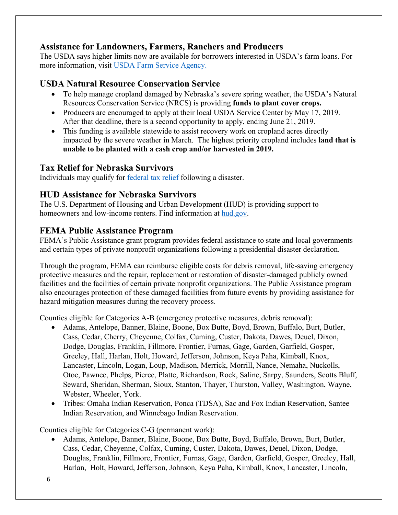# **Assistance for Landowners, Farmers, Ranchers and Producers**

The USDA says higher limits now are available for borrowers interested in USDA's farm loans. For more information, visit [USDA Farm Service Agency.](https://www.fsa.usda.gov/)

# **USDA Natural Resource Conservation Service**

- To help manage cropland damaged by Nebraska's severe spring weather, the USDA's Natural Resources Conservation Service (NRCS) is providing **funds to plant cover crops.**
- Producers are encouraged to apply at their local USDA Service Center by May 17, 2019. After that deadline, there is a second opportunity to apply, ending June 21, 2019.
- This funding is available statewide to assist recovery work on cropland acres directly impacted by the severe weather in March. The highest priority cropland includes **land that is unable to be planted with a cash crop and/or harvested in 2019.**

# **Tax Relief for Nebraska Survivors**

Individuals may qualify for federal tax relief [following a disaster.](https://www.irs.gov/newsroom/irs-announces-tax-relief-for-nebraska-victims-of-severe-winter-storm-straight-line-winds-and-flooding)

# **HUD Assistance for Nebraska Survivors**

The U.S. Department of Housing and Urban Development (HUD) is providing support to homeowners and low-income renters. Find information at [hud.gov.](https://www.hud.gov/)

# **FEMA Public Assistance Program**

FEMA's Public Assistance grant program provides federal assistance to state and local governments and certain types of private nonprofit organizations following a presidential disaster declaration.

Through the program, FEMA can reimburse eligible costs for debris removal, life-saving emergency protective measures and the repair, replacement or restoration of disaster-damaged publicly owned facilities and the facilities of certain private nonprofit organizations. The Public Assistance program also encourages protection of these damaged facilities from future events by providing assistance for hazard mitigation measures during the recovery process.

Counties eligible for Categories A-B (emergency protective measures, debris removal):

- Adams, Antelope, Banner, Blaine, Boone, Box Butte, Boyd, Brown, Buffalo, Burt, Butler, Cass, Cedar, Cherry, Cheyenne, Colfax, Cuming, Custer, Dakota, Dawes, Deuel, Dixon, Dodge, Douglas, Franklin, Fillmore, Frontier, Furnas, Gage, Garden, Garfield, Gosper, Greeley, Hall, Harlan, Holt, Howard, Jefferson, Johnson, Keya Paha, Kimball, Knox, Lancaster, Lincoln, Logan, Loup, Madison, Merrick, Morrill, Nance, Nemaha, Nuckolls, Otoe, Pawnee, Phelps, Pierce, Platte, Richardson, Rock, Saline, Sarpy, Saunders, Scotts Bluff, Seward, Sheridan, Sherman, Sioux, Stanton, Thayer, Thurston, Valley, Washington, Wayne, Webster, Wheeler, York.
- Tribes: Omaha Indian Reservation, Ponca (TDSA), Sac and Fox Indian Reservation, Santee Indian Reservation, and Winnebago Indian Reservation.

Counties eligible for Categories C-G (permanent work):

• Adams, Antelope, Banner, Blaine, Boone, Box Butte, Boyd, Buffalo, Brown, Burt, Butler, Cass, Cedar, Cheyenne, Colfax, Cuming, Custer, Dakota, Dawes, Deuel, Dixon, Dodge, Douglas, Franklin, Fillmore, Frontier, Furnas, Gage, Garden, Garfield, Gosper, Greeley, Hall, Harlan, Holt, Howard, Jefferson, Johnson, Keya Paha, Kimball, Knox, Lancaster, Lincoln,